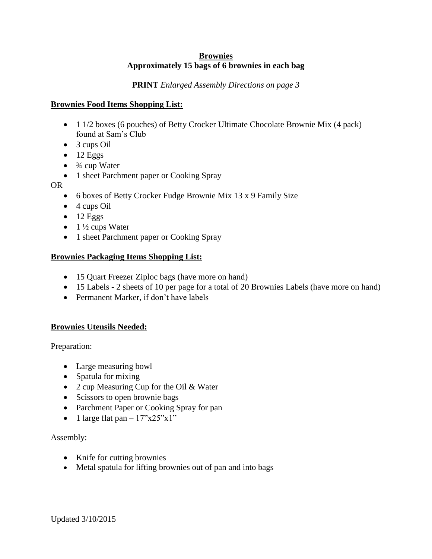# **Brownies Approximately 15 bags of 6 brownies in each bag**

# **PRINT** *Enlarged Assembly Directions on page 3*

# **Brownies Food Items Shopping List:**

- 1 1/2 boxes (6 pouches) of Betty Crocker Ultimate Chocolate Brownie Mix (4 pack) found at Sam's Club
- 3 cups Oil
- $\bullet$  12 Eggs
- $\bullet$   $\frac{3}{4}$  cup Water
- 1 sheet Parchment paper or Cooking Spray
- OR
	- 6 boxes of Betty Crocker Fudge Brownie Mix 13 x 9 Family Size
	- $\bullet$  4 cups Oil
	- $\bullet$  12 Eggs
	- $\bullet$  1  $\frac{1}{2}$  cups Water
	- 1 sheet Parchment paper or Cooking Spray

### **Brownies Packaging Items Shopping List:**

- 15 Quart Freezer Ziploc bags (have more on hand)
- 15 Labels 2 sheets of 10 per page for a total of 20 Brownies Labels (have more on hand)
- Permanent Marker, if don't have labels

# **Brownies Utensils Needed:**

Preparation:

- Large measuring bowl
- Spatula for mixing
- 2 cup Measuring Cup for the Oil & Water
- Scissors to open brownie bags
- Parchment Paper or Cooking Spray for pan
- 1 large flat pan  $-17$ "x25"x1"

# Assembly:

- Knife for cutting brownies
- Metal spatula for lifting brownies out of pan and into bags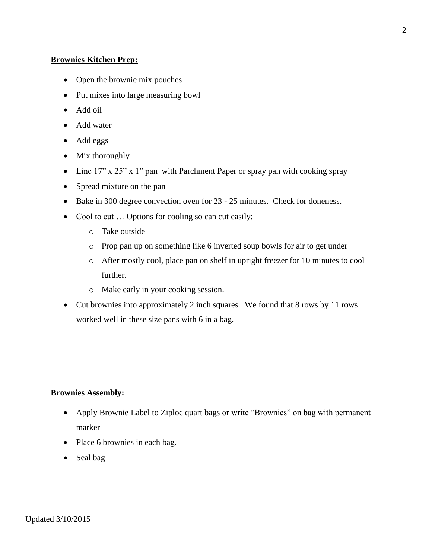# **Brownies Kitchen Prep:**

- Open the brownie mix pouches
- Put mixes into large measuring bowl
- Add oil
- Add water
- Add eggs
- Mix thoroughly
- Line 17" x 25" x 1" pan with Parchment Paper or spray pan with cooking spray
- Spread mixture on the pan
- Bake in 300 degree convection oven for 23 25 minutes. Check for doneness.
- Cool to cut ... Options for cooling so can cut easily:
	- o Take outside
	- o Prop pan up on something like 6 inverted soup bowls for air to get under
	- o After mostly cool, place pan on shelf in upright freezer for 10 minutes to cool further.
	- o Make early in your cooking session.
- Cut brownies into approximately 2 inch squares. We found that 8 rows by 11 rows worked well in these size pans with 6 in a bag.

# **Brownies Assembly:**

- Apply Brownie Label to Ziploc quart bags or write "Brownies" on bag with permanent marker
- Place 6 brownies in each bag.
- Seal bag